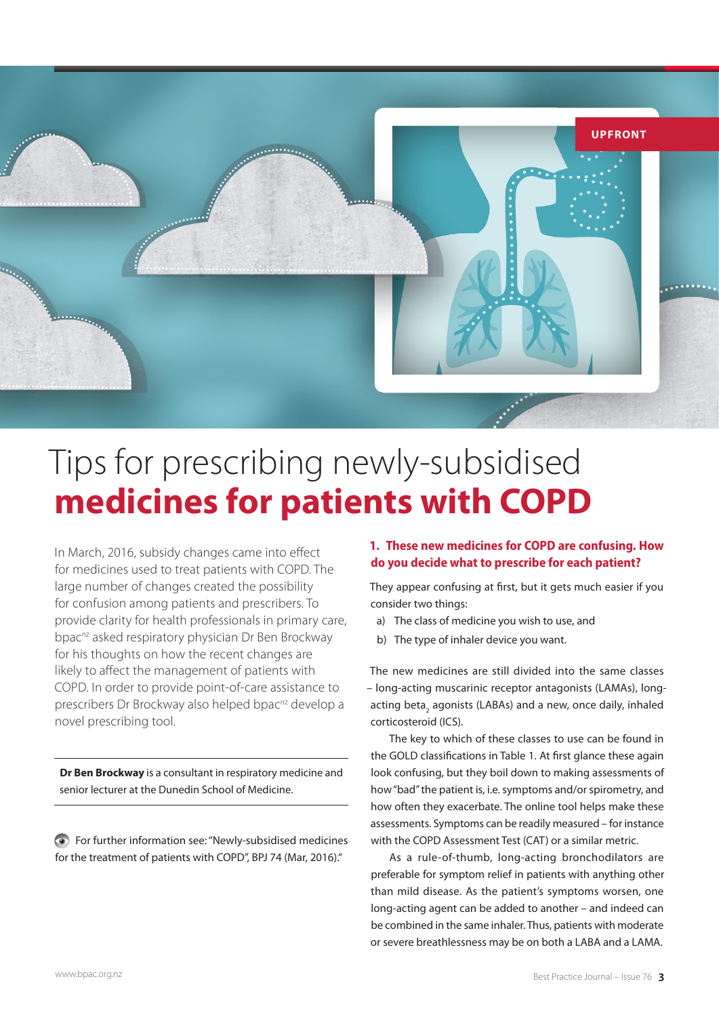

# Tips for prescribing newly-subsidised **medicines for patients with COPD**

In March, 2016, subsidy changes came into effect for medicines used to treat patients with COPD. The large number of changes created the possibility for confusion among patients and prescribers. To provide clarity for health professionals in primary care, bpac<sup>nz</sup> asked respiratory physician Dr Ben Brockway for his thoughts on how the recent changes are likely to affect the management of patients with COPD. In order to provide point-of-care assistance to prescribers Dr Brockway also helped bpac<sup>nz</sup> develop a novel prescribing tool.

**Dr Ben Brockway** is a consultant in respiratory medicine and senior lecturer at the Dunedin School of Medicine.

For further information see: "Newly-subsidised medicines for the treatment of patients with COPD", BPJ 74 (Mar, 2016)."

#### **1. These new medicines for COPD are confusing. How do you decide what to prescribe for each patient?**

They appear confusing at first, but it gets much easier if you consider two things:

- a) The class of medicine you wish to use, and
- b) The type of inhaler device you want.

The new medicines are still divided into the same classes – long-acting muscarinic receptor antagonists (LAMAs), longacting beta<sub>2</sub> agonists (LABAs) and a new, once daily, inhaled corticosteroid (ICS).

The key to which of these classes to use can be found in the GOLD classifications in Table 1. At first glance these again look confusing, but they boil down to making assessments of how "bad" the patient is, i.e. symptoms and/or spirometry, and how often they exacerbate. The online tool helps make these assessments. Symptoms can be readily measured – for instance with the COPD Assessment Test (CAT) or a similar metric.

As a rule-of-thumb, long-acting bronchodilators are preferable for symptom relief in patients with anything other than mild disease. As the patient's symptoms worsen, one long-acting agent can be added to another – and indeed can be combined in the same inhaler. Thus, patients with moderate or severe breathlessness may be on both a LABA and a LAMA.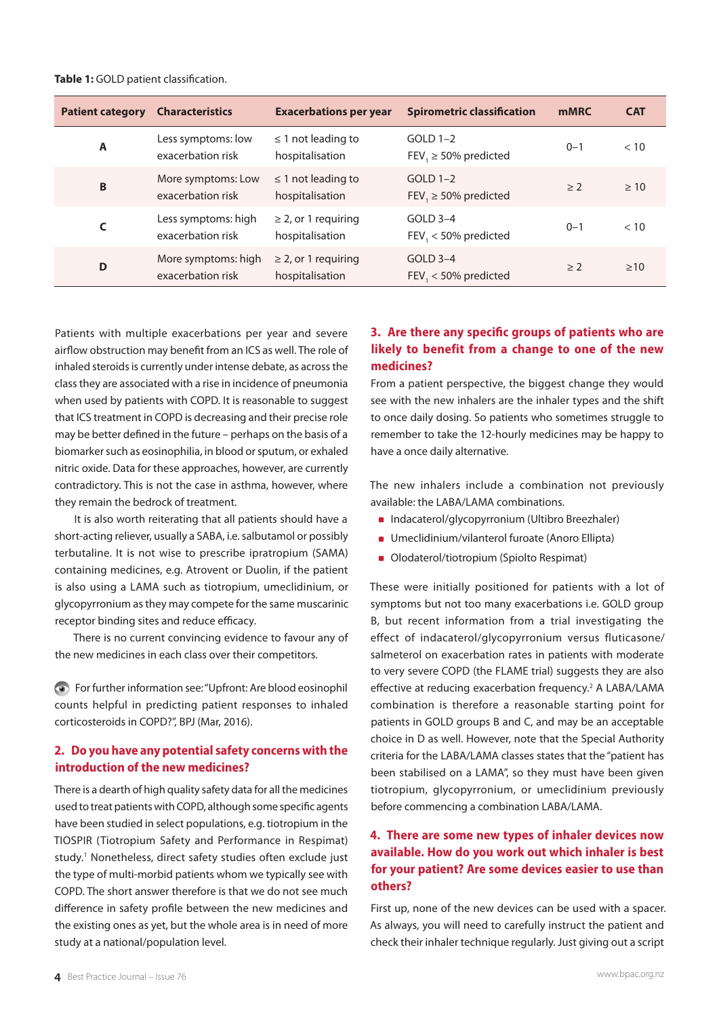| <b>Patient category</b> | <b>Characteristics</b>                   | <b>Exacerbations per year</b>               | <b>Spirometric classification</b>       | <b>mMRC</b> | <b>CAT</b> |
|-------------------------|------------------------------------------|---------------------------------------------|-----------------------------------------|-------------|------------|
| A                       | Less symptoms: low<br>exacerbation risk  | $\leq$ 1 not leading to<br>hospitalisation  | $GOLD 1-2$<br>FEV, $\geq$ 50% predicted | $0 - 1$     | < 10       |
| B                       | More symptoms: Low<br>exacerbation risk  | $\leq$ 1 not leading to<br>hospitalisation  | $GOLD 1-2$<br>FEV, $\geq$ 50% predicted | > 2         | >10        |
|                         | Less symptoms: high<br>exacerbation risk | $\geq$ 2, or 1 requiring<br>hospitalisation | $GOLD$ 3-4<br>FEV, < 50% predicted      | $0 - 1$     | < 10       |
| D                       | More symptoms: high<br>exacerbation risk | $\geq$ 2, or 1 requiring<br>hospitalisation | $GOLD$ 3-4<br>$FEV1 < 50\%$ predicted   | $\geq 2$    | >10        |

Patients with multiple exacerbations per year and severe airflow obstruction may benefit from an ICS as well. The role of inhaled steroids is currently under intense debate, as across the class they are associated with a rise in incidence of pneumonia when used by patients with COPD. It is reasonable to suggest that ICS treatment in COPD is decreasing and their precise role may be better defined in the future – perhaps on the basis of a biomarker such as eosinophilia, in blood or sputum, or exhaled nitric oxide. Data for these approaches, however, are currently contradictory. This is not the case in asthma, however, where they remain the bedrock of treatment.

It is also worth reiterating that all patients should have a short-acting reliever, usually a SABA, i.e. salbutamol or possibly terbutaline. It is not wise to prescribe ipratropium (SAMA) containing medicines, e.g. Atrovent or Duolin, if the patient is also using a LAMA such as tiotropium, umeclidinium, or glycopyrronium as they may compete for the same muscarinic receptor binding sites and reduce efficacy.

There is no current convincing evidence to favour any of the new medicines in each class over their competitors.

For further information see: "Upfront: Are blood eosinophil counts helpful in predicting patient responses to inhaled corticosteroids in COPD?", BPJ (Mar, 2016).

#### **2. Do you have any potential safety concerns with the introduction of the new medicines?**

There is a dearth of high quality safety data for all the medicines used to treat patients with COPD, although some specific agents have been studied in select populations, e.g. tiotropium in the TIOSPIR (Tiotropium Safety and Performance in Respimat) study.<sup>1</sup> Nonetheless, direct safety studies often exclude just the type of multi-morbid patients whom we typically see with COPD. The short answer therefore is that we do not see much difference in safety profile between the new medicines and the existing ones as yet, but the whole area is in need of more study at a national/population level.

### **3. Are there any specific groups of patients who are likely to benefit from a change to one of the new medicines?**

From a patient perspective, the biggest change they would see with the new inhalers are the inhaler types and the shift to once daily dosing. So patients who sometimes struggle to remember to take the 12-hourly medicines may be happy to have a once daily alternative.

The new inhalers include a combination not previously available: the LABA/LAMA combinations.

- Indacaterol/glycopyrronium (Ultibro Breezhaler)
- **Umeclidinium/vilanterol furoate (Anoro Ellipta)**
- **Olodaterol/tiotropium (Spiolto Respimat)**

These were initially positioned for patients with a lot of symptoms but not too many exacerbations i.e. GOLD group B, but recent information from a trial investigating the effect of indacaterol/glycopyrronium versus fluticasone/ salmeterol on exacerbation rates in patients with moderate to very severe COPD (the FLAME trial) suggests they are also effective at reducing exacerbation frequency.<sup>2</sup> A LABA/LAMA combination is therefore a reasonable starting point for patients in GOLD groups B and C, and may be an acceptable choice in D as well. However, note that the Special Authority criteria for the LABA/LAMA classes states that the "patient has been stabilised on a LAMA", so they must have been given tiotropium, glycopyrronium, or umeclidinium previously before commencing a combination LABA/LAMA.

#### **4. There are some new types of inhaler devices now available. How do you work out which inhaler is best for your patient? Are some devices easier to use than others?**

First up, none of the new devices can be used with a spacer. As always, you will need to carefully instruct the patient and check their inhaler technique regularly. Just giving out a script